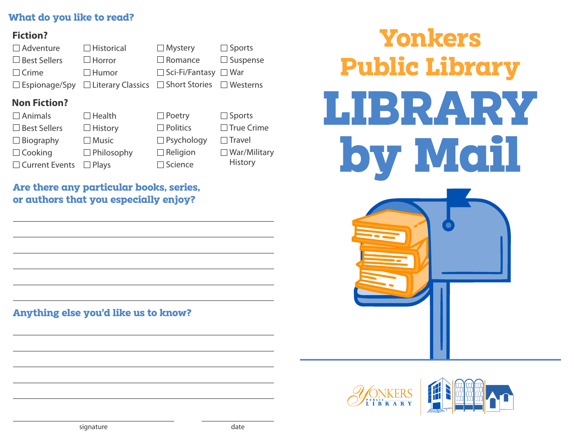### **What do you like to read?**

#### **Fiction?**

| $\Box$ Adventure    | $\Box$ Historical                                                                  | $\Box$ Mystery                   | $\Box$ Sports   |
|---------------------|------------------------------------------------------------------------------------|----------------------------------|-----------------|
| $\Box$ Best Sellers | $\Box$ Horror                                                                      | $\Box$ Romance                   | $\Box$ Suspense |
| $\Box$ Crime        | $\Box$ Humor                                                                       | $\Box$ Sci-Fi/Fantasy $\Box$ War |                 |
|                     | $\Box$ Espionage/Spy $\Box$ Literary Classics $\Box$ Short Stories $\Box$ Westerns |                                  |                 |

## **Non Fiction?**

| $\Box$ Animals        | $\Box$ Health     | $\Box$ Poetry     | $\Box$ Sports       |
|-----------------------|-------------------|-------------------|---------------------|
| $\Box$ Best Sellers   | $\Box$ History    | $\Box$ Politics   | $\Box$ True Crime   |
| $\Box$ Biography      | $\Box$ Music      | $\Box$ Psychology | $\Box$ Travel       |
| $\Box$ Cooking        | $\Box$ Philosophy | $\Box$ Religion   | $\Box$ War/Military |
| $\Box$ Current Events | $\Box$ Plays      | $\Box$ Science    | History             |

## **Are there any particular books, series, or authors that you especially enjoy?**

**Anything else you'd like us to know?**